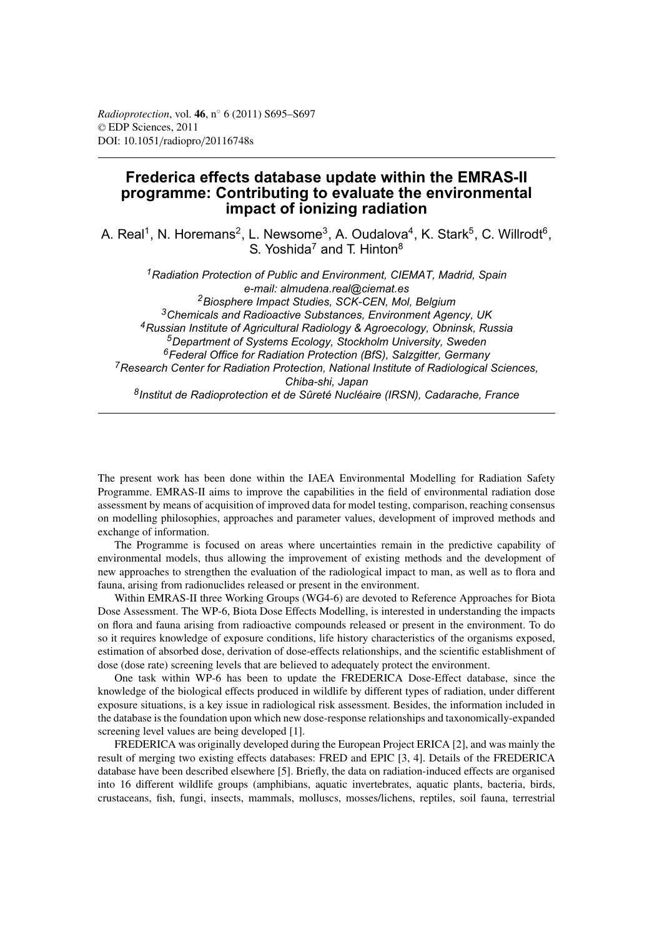## **Frederica effects database update within the EMRAS-II programme: Contributing to evaluate the environmental impact of ionizing radiation**

A. Real<sup>1</sup>, N. Horemans<sup>2</sup>, L. Newsome<sup>3</sup>, A. Oudalova<sup>4</sup>, K. Stark<sup>5</sup>, C. Willrodt<sup>6</sup>, S. Yoshida<sup>7</sup> and T. Hinton<sup>8</sup>

*1Radiation Protection of Public and Environment, CIEMAT, Madrid, Spain e-mail: almudena.real@ciemat.es 2Biosphere Impact Studies, SCK-CEN, Mol, Belgium 3Chemicals and Radioactive Substances, Environment Agency, UK 4Russian Institute of Agricultural Radiology & Agroecology, Obninsk, Russia 5Department of Systems Ecology, Stockholm University, Sweden 6Federal Office for Radiation Protection (BfS), Salzgitter, Germany 7Research Center for Radiation Protection, National Institute of Radiological Sciences, Chiba-shi, Japan 8Institut de Radioprotection et de Sûreté Nucléaire (IRSN), Cadarache, France*

The present work has been done within the IAEA Environmental Modelling for Radiation Safety Programme. EMRAS-II aims to improve the capabilities in the field of environmental radiation dose assessment by means of acquisition of improved data for model testing, comparison, reaching consensus on modelling philosophies, approaches and parameter values, development of improved methods and exchange of information.

The Programme is focused on areas where uncertainties remain in the predictive capability of environmental models, thus allowing the improvement of existing methods and the development of new approaches to strengthen the evaluation of the radiological impact to man, as well as to flora and fauna, arising from radionuclides released or present in the environment.

Within EMRAS-II three Working Groups (WG4-6) are devoted to Reference Approaches for Biota Dose Assessment. The WP-6, Biota Dose Effects Modelling, is interested in understanding the impacts on flora and fauna arising from radioactive compounds released or present in the environment. To do so it requires knowledge of exposure conditions, life history characteristics of the organisms exposed, estimation of absorbed dose, derivation of dose-effects relationships, and the scientific establishment of dose (dose rate) screening levels that are believed to adequately protect the environment.

One task within WP-6 has been to update the FREDERICA Dose-Effect database, since the knowledge of the biological effects produced in wildlife by different types of radiation, under different exposure situations, is a key issue in radiological risk assessment. Besides, the information included in the database is the foundation upon which new dose-response relationships and taxonomically-expanded screening level values are being developed [1].

FREDERICA was originally developed during the European Project ERICA [2], and was mainly the result of merging two existing effects databases: FRED and EPIC [3, 4]. Details of the FREDERICA database have been described elsewhere [5]. Briefly, the data on radiation-induced effects are organised into 16 different wildlife groups (amphibians, aquatic invertebrates, aquatic plants, bacteria, birds, crustaceans, fish, fungi, insects, mammals, molluscs, mosses/lichens, reptiles, soil fauna, terrestrial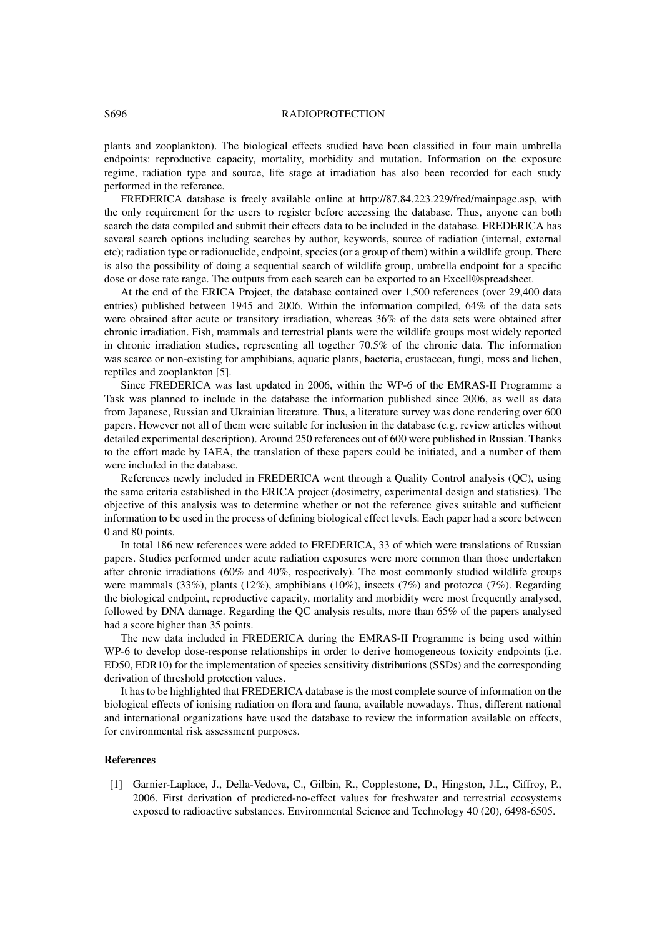## S696 RADIOPROTECTION

plants and zooplankton). The biological effects studied have been classified in four main umbrella endpoints: reproductive capacity, mortality, morbidity and mutation. Information on the exposure regime, radiation type and source, life stage at irradiation has also been recorded for each study performed in the reference.

FREDERICA database is freely available online at http://87.84.223.229/fred/mainpage.asp, with the only requirement for the users to register before accessing the database. Thus, anyone can both search the data compiled and submit their effects data to be included in the database. FREDERICA has several search options including searches by author, keywords, source of radiation (internal, external etc); radiation type or radionuclide, endpoint, species (or a group of them) within a wildlife group. There is also the possibility of doing a sequential search of wildlife group, umbrella endpoint for a specific dose or dose rate range. The outputs from each search can be exported to an Excell®spreadsheet.

At the end of the ERICA Project, the database contained over 1,500 references (over 29,400 data entries) published between 1945 and 2006. Within the information compiled, 64% of the data sets were obtained after acute or transitory irradiation, whereas 36% of the data sets were obtained after chronic irradiation. Fish, mammals and terrestrial plants were the wildlife groups most widely reported in chronic irradiation studies, representing all together 70.5% of the chronic data. The information was scarce or non-existing for amphibians, aquatic plants, bacteria, crustacean, fungi, moss and lichen, reptiles and zooplankton [5].

Since FREDERICA was last updated in 2006, within the WP-6 of the EMRAS-II Programme a Task was planned to include in the database the information published since 2006, as well as data from Japanese, Russian and Ukrainian literature. Thus, a literature survey was done rendering over 600 papers. However not all of them were suitable for inclusion in the database (e.g. review articles without detailed experimental description). Around 250 references out of 600 were published in Russian. Thanks to the effort made by IAEA, the translation of these papers could be initiated, and a number of them were included in the database.

References newly included in FREDERICA went through a Quality Control analysis (QC), using the same criteria established in the ERICA project (dosimetry, experimental design and statistics). The objective of this analysis was to determine whether or not the reference gives suitable and sufficient information to be used in the process of defining biological effect levels. Each paper had a score between 0 and 80 points.

In total 186 new references were added to FREDERICA, 33 of which were translations of Russian papers. Studies performed under acute radiation exposures were more common than those undertaken after chronic irradiations (60% and 40%, respectively). The most commonly studied wildlife groups were mammals (33%), plants (12%), amphibians (10%), insects (7%) and protozoa (7%). Regarding the biological endpoint, reproductive capacity, mortality and morbidity were most frequently analysed, followed by DNA damage. Regarding the QC analysis results, more than 65% of the papers analysed had a score higher than 35 points.

The new data included in FREDERICA during the EMRAS-II Programme is being used within WP-6 to develop dose-response relationships in order to derive homogeneous toxicity endpoints (i.e. ED50, EDR10) for the implementation of species sensitivity distributions (SSDs) and the corresponding derivation of threshold protection values.

It has to be highlighted that FREDERICA database is the most complete source of information on the biological effects of ionising radiation on flora and fauna, available nowadays. Thus, different national and international organizations have used the database to review the information available on effects, for environmental risk assessment purposes.

## **References**

[1] Garnier-Laplace, J., Della-Vedova, C., Gilbin, R., Copplestone, D., Hingston, J.L., Ciffroy, P., 2006. First derivation of predicted-no-effect values for freshwater and terrestrial ecosystems exposed to radioactive substances. Environmental Science and Technology 40 (20), 6498-6505.